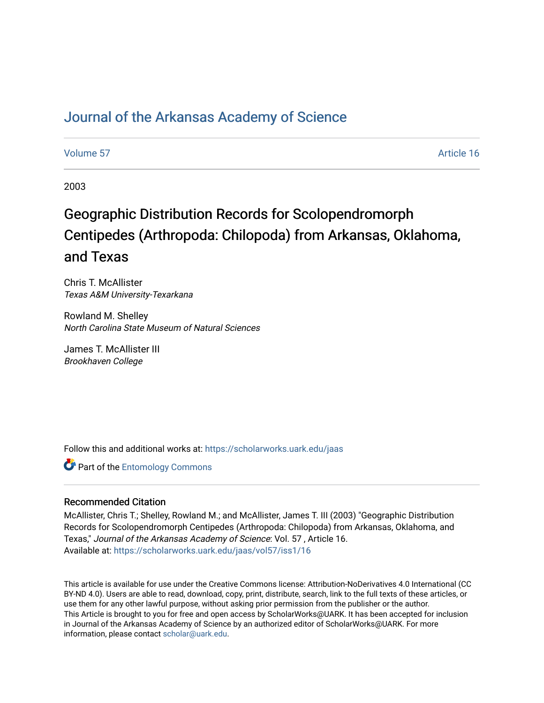## [Journal of the Arkansas Academy of Science](https://scholarworks.uark.edu/jaas)

## [Volume 57](https://scholarworks.uark.edu/jaas/vol57) Article 16

2003

# Geographic Distribution Records for Scolopendromorph Centipedes (Arthropoda: Chilopoda) from Arkansas, Oklahoma, and Texas

Chris T. McAllister Texas A&M University-Texarkana

Rowland M. Shelley North Carolina State Museum of Natural Sciences

James T. McAllister III Brookhaven College

Follow this and additional works at: [https://scholarworks.uark.edu/jaas](https://scholarworks.uark.edu/jaas?utm_source=scholarworks.uark.edu%2Fjaas%2Fvol57%2Fiss1%2F16&utm_medium=PDF&utm_campaign=PDFCoverPages) 

**Part of the Entomology Commons** 

## Recommended Citation

McAllister, Chris T.; Shelley, Rowland M.; and McAllister, James T. III (2003) "Geographic Distribution Records for Scolopendromorph Centipedes (Arthropoda: Chilopoda) from Arkansas, Oklahoma, and Texas," Journal of the Arkansas Academy of Science: Vol. 57 , Article 16. Available at: [https://scholarworks.uark.edu/jaas/vol57/iss1/16](https://scholarworks.uark.edu/jaas/vol57/iss1/16?utm_source=scholarworks.uark.edu%2Fjaas%2Fvol57%2Fiss1%2F16&utm_medium=PDF&utm_campaign=PDFCoverPages)

This article is available for use under the Creative Commons license: Attribution-NoDerivatives 4.0 International (CC BY-ND 4.0). Users are able to read, download, copy, print, distribute, search, link to the full texts of these articles, or use them for any other lawful purpose, without asking prior permission from the publisher or the author. This Article is brought to you for free and open access by ScholarWorks@UARK. It has been accepted for inclusion in Journal of the Arkansas Academy of Science by an authorized editor of ScholarWorks@UARK. For more information, please contact [scholar@uark.edu.](mailto:scholar@uark.edu)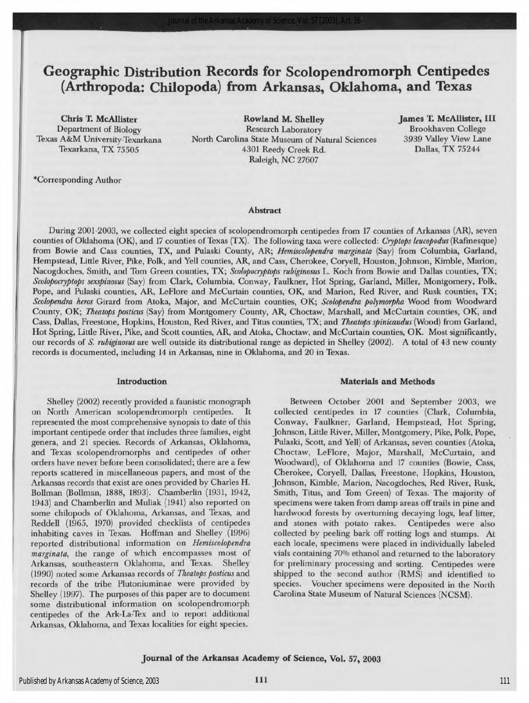## Geographic Distribution Records for Scolopendromorph Centipedes (Arthropoda: Chilopoda) from Arkansas, Oklahoma, and Texas

Chris T.McAllister Department of Biology Texas A&MUniversity-Texarkana Texarkana, TX 75505

Rowland M. Shelley James T. McAllister, III Research Laboratory North Carolina State Museum of Natural Sciences 4301 Reedy Creek Rd. Raleigh, NC 27607

Brookhaven College 3939 Valley View Lane Dallas, TX 75244

""Corresponding Author

#### Abstract

During 2001-2003, we collected eight species of scolopendromorph centipedes from 17 counties of Arkansas (AR), seven counties of Oklahoma (OK), and 17 counties of Texas (TX). The following taxa were collected: Cryptops leucopodus (Rafinesque) from Bowie and Cass counties, TX, and Pulaski County, AR; *Hemiscolopendra marginata* (Say) from Columbia, Garland, Hempstead, Little River, Pike, Polk, and Yell counties, AR, and Cass, Cherokee, Coryell, Houston, Johnson, Kimble, Marion, Nacogdoches, Smith, and Tom Green counties, TX; Scolopocryptops rubiginosus L. Koch from Bowie and Dallas counties, TX; Scolopocryptops sexspinosus (Say) from Clark, Columbia, Conway, Faulkner, Hot Spring, Garland, Miller, Montgomery, Polk, Pope, and Pulaski counties, AR, LeFlore and McCurtain counties, OK, and Marion, Red River, and Rusk counties, TX; Scolopendra heros Girard from Atoka, Major, and McCurtain counties, OK; Scolopendra polymorpha Wood from Woodward County, OK; Theatops posticus (Say) from Montgomery County, AR, Choctaw, Marshall, and McCurtain counties, OK, and Cass, Dallas, Freestone, Hopkins, Houston, Red River, and Titus counties, TX; and Theatops spinicaudus (Wood) from Garland, Hot Spring, Little River, Pike, and Scott counties, AR, and Atoka, Choctaw, and McCurtain counties, OK. Most significantly, our records of S. rubiginosus are well outside its distributional range as depicted in Shelley (2002). A total of 43 new county records is documented, including 14 in Arkansas, nine in Oklahoma, and 20 in Texas.

## Introduction

Shelley (2002) recently provided a faunistic monograph on North American scolopendromorph centipedes. It represented the most comprehensive synopsis to date of this important centipede order that includes three families, eight genera, and 21 species. Records of Arkansas, Oklahoma, and Texas scolopendromorphs and centipedes of other orders have never before been consolidated; there are a few reports scattered in miscellaneous papers, and most of the Arkansas records that exist are ones provided byCharles H. Bollman (Bollman, 1888, 1893). Chamberlin (1931, 1942, 1943) and Chamberlin and Muliak (1941) also reported on some chilopods of Oklahoma, Arkansas, and Texas, and Reddell (1965, 1970) provided checklists of centipedes inhabiting caves in Texas. Hoffman and Shelley (1996) reported distributional information on Hemiscolopendra marginata, the range of which encompasses most of Arkansas, southeastern Oklahoma, and Texas. Shelley (1990) noted some Arkansas records of Theatops posticus and records of the tribe Plutoniuminae were provided by Shelley (1997). The purposes of this paper are to document some distributional information on scolopendromorph centipedes of the Ark-La-Tex and to report additional Arkansas, Oklahoma, and Texas localities for eight species.

## Materials and Methods

Between October 2001 and September 2003, we collected centipedes in <sup>17</sup> counties (Clark, Columbia, Conway, Faulkner, Garland, Hempstead, Hot Spring, Johnson, Little River, Miller, Montgomery, Pike, Polk, Pope, Pulaski, Scott, and Yell) of Arkansas, seven counties (Atoka, Choctaw, LeFlore, Major, Marshall, McCurtain, and Woodward), of Oklahoma and <sup>17</sup> counties (Bowie, Cass, Cherokee, Coryell, Dallas, Freestone, Hopkins, Houston, Johnson, Kimble, Marion, Nacogdoches, Red River, Rusk, Smith, Titus, and Tom Green) of Texas. The majority of specimens were taken from damp areas off trails in pine and hardwood forests by overturning decaying logs, leaf litter, and stones with potato rakes. Centipedes were also collected by peeling bark off rotting logs and stumps. At each locale, specimens were placed in individually labeled vials containing 70% ethanol and returned to the laboratory for preliminary processing and sorting. Centipedes were shipped to the second author (RMS) and identified to species. Voucher specimens were deposited in the North Carolina State Museum of Natural Sciences (NCSM).

## Journal of the Arkansas Academy of Science, Vol. 57, <sup>2003</sup>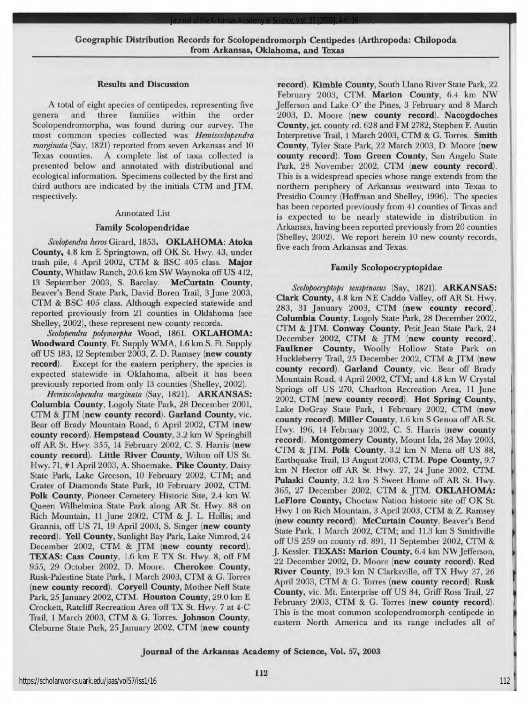*Journal of the Arkansas Academy of Science, Vol. 57 [2003], Art. 16*

## Results and Discussion

A total of eight species of centipedes, representing five<br>genera and three families within the order families Scolopendromorpha, was found during our survey. The most common species collected was Hemiscolopendra marginata (Say, 1821) reported from seven Arkansas and 10<br>Texas counties. A complete list of taxa collected is A complete list of taxa collected is presented below and annotated with distributional and ecological information. Specimens collected by the first and third authors are indicated by the initials CTM and JTM, respectively.

## Annotated List

## Family Scolopendridae

Scolopendra heros Girard, 1853. OKLAHOMA: Atoka County, 4.8 km E Springtown, off OK St. Hwy. 43, under trash pile, 4 April 2002, CTM & BSC 405 class. Major County, Whitlaw Ranch, 20.6 km SW Waynoka off US 412, <sup>13</sup> September 2003, S. Barclay. McCurtain County, Beaver's Bend State Park, David Boren Trail, 3 June 2003, CTM & BSC 405 class. Although expected statewide and reported previously from 21 counties in Oklahoma (see Shelley, 2002), these represent new county records.

Scolopendra polymorpha Wood, 1861. OKLAHOMA: Woodward County, Ft. Supply WMA, 1.6 km S. Ft. Supply off US 183, 12 September 2003, Z. D. Ramsey (new county record). Except for the eastern periphery, the species is expected statewide in Oklahoma, albeit it has been previously reported from only 13 counties (Shelley, 2002).

Hemiscolopendra marginata (Say, 1821). ARKANSAS: Columbia County, Logoly State Park, 28 December 2001, CTM & JTM (new county record). Garland County, vic. Bear off Brady Mountain Road, 6 April 2002, CTM (new county record). Hempstead County, 3.2 km W Springhill off AR St. Hwy. 355, <sup>14</sup> February 2002, C. S. Harris (new county record). Little River County, Wilton off US St. Hwy. 71, #1 April 2003, A. Shoemake. Pike County, Daisy State Park, Lake Greeson, <sup>10</sup> February 2002, CTM; and Crater of Diamonds State Park, 10 February 2002, CTM. Polk County, Pioneer Cemetery Historic Site, 2.4 km W. Queen Wilhelmina State Park along AR St. Hwy. <sup>88</sup> on Rich Mountain, 11 June 2002, CTM & J. L. Hollis; and Grannis, off US 71, <sup>19</sup> April 2003, S. Singer (new county record). Yell County, Sunlight Bay Park, Lake Nimrod, 24 December 2002, CTM & JTM (new county record). TEXAS: Cass County, 1.6 km E TX St. Hwy. 8, off FM 955, 29 October 2002, D. Moore. Cherokee County, Rusk-Palestine State Park, 1March 2003, CTM&G. Torres (new county record). Coryell County, Mother Neff State Park, 25 January 2002, CTM. Houston County, 29.0 km E Crockett, Ratcliff Recreation Area off TX St. Hwy. <sup>7</sup> at 4-C Trail, 1 March 2003, CTM & G. Torres. Johnson County, Cleburne State Park, 25 January 2002, CTM (new county

record). Kimble County, South Llano River State Park, 22 February 2003, CTM. Marion County, 6.4 km NW Jefferson and Lake O' the Pines, 3 February and 8 March 2003, D. Moore (new county record). Nacogdoches County, jet. county rd.628 and FM2782, Stephen F. Austin Interpretive Trail, 1 March 2003, CTM & G. Torres. Smith County, Tyler State Park, 22 March 2003, D. Moore (new county record). Tom Green County, San Angelo State Park, 28 November 2002, CTM (new county record). This is a widespread species whose range extends from the northern periphery of Arkansas westward into Texas to Presidio County (Hoffman and Shelley, 1996). The species has been reported previously from 41 counties of Texas and is expected to be nearly statewide in distribution in Arkansas, having been reported previously from 20 counties (Shelley, 2002). We report herein 10 new county records, five each from Arkansas and Texas.

## Family Scolopocryptopidae

Scolopocryptops sexspinosus (Say, 1821). ARKANSAS: Clark County, 4.8 km NE Caddo Valley, off AR St. Hwy. 283, 31 January 2003, CTM (new county record). Columbia County, Logoly State Park, 28 December 2002, CTM & JTM. Conway County, Petit Jean State Park, 24 December 2002, CTM & JTM (new county record). Faulkner County, Woolly Hollow State Park on Huckleberry Trail, 25 December 2002, CTM & JTM (new county record). Garland County, vie. Bear off Brady Mountain Road, 4 April 2002, CTM; and 4.8 km W Crystal Springs off US 270, Charlton Recreation Area, <sup>11</sup> June 2002, CTM (new county record). Hot Spring County, Lake DeGray State Park, 1 February 2002, CTM (new county record). Miller County, 1.6 km <sup>S</sup> Genoa off ARSt. Hwy. 196, <sup>14</sup> February 2002, C. S. Harris (new county record). Montgomery County, Mount Ida, 28 May 2003, CTM & JTM. Polk County, 3.2 km N Mena off US 88, Earthquake Trail, 13 August 2003, CTM. Pope County, 9.7 km N Hector off AR St. Hwy. 27, <sup>24</sup> June 2002, CTM. Pulaski County, 3.2 km S Sweet Home off AR St. Hwy. 365, 27 December 2002, CTM & JTM. OKLAHOMA: LeFlore County, Choctaw Nation historic site off OK St. Hwy 1 on Rich Mountain, 3 April 2003, CTM & Z. Ramsey (new county record). McCurtain County, Beaver's Bend State Park, 1March 2002, CTM; and 11.3 km <sup>S</sup> Smithville off US 259 on county rd. 891, 11 September 2002, CTM & J. Kessler. TEXAS: Marion County, 6.4 km NW Jefferson, 22 December 2002, D. Moore (new county record). Red River County, 19.3 km N Clarksville, off TX Hwy 37, 26 April 2003, CTM & G. Torres (new county record). Rusk County, vic. Mt. Enterprise off US 84, Griff Ross Trail, 27 February 2003, CTM & G. Torres (new county record). This is the most common scolopendromorph centipede in eastern North America and its range includes all of

## Journal of the Arkansas Academy of Science, Vol. 57, <sup>2003</sup>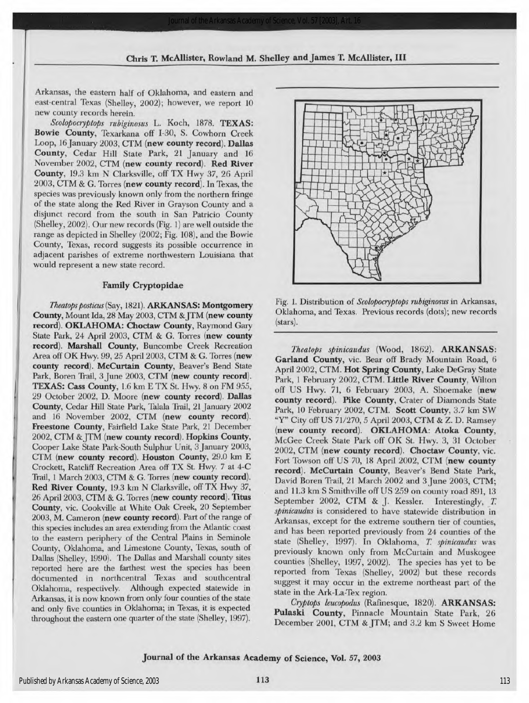Arkansas, the eastern half of Oklahoma, and eastern and east-central Texas (Shelley, 2002); however, we report <sup>10</sup> new county records herein.

Scolopocryptops rubiginosus L. Koch, 1878. TEXAS: Bowie County, Texarkana off 1-30, S. Cowhorn Creek Loop, 16 January 2003, CTM (new county record). Dallas County, Cedar Hill State Park, 21 January and <sup>16</sup> November 2002, CTM (new county record). Red River County, 19.3 km NClarksville, off TX Hwy 37, <sup>26</sup> April 2003, CTM & G. Torres (new county record). In Texas, the species was previously known only from the northern fringe of the state along the Red River in Grayson County and a disjunct record from the south in San Patricio County (Shelley, 2002). Our new records (Fig. 1) are well outside the range as depicted in Shelley (2002; Fig. 108), and the Bowie County, Texas, record suggests its possible occurrence in adjacent parishes of extreme northwestern Louisiana that would represent a new state record.

## Family Cryptopidae

Theatops posticus (Say, 1821). ARKANSAS: Montgomery County, Mount Ida, 28 May 2003, CTM & JTM (new county record). OKLAHOMA: Choctaw County, Raymond Gary State Park, 24 April 2003, CTM & G. Torres (new county record). Marshall County, Buncombe Creek Recreation Area off OK Hwy. 99, 25 April 2003, CTM & G. Torres (new county record). McCurtain County, Beaver's Bend State Park, Boren Trail, 3 June 2003, CTM (new county record). TEXAS: Cass County, 1.6 km E TX St. Hwy. 8 on FM 955, 29 October 2002, D. Moore (new county record). Dallas County, Cedar Hill State Park, Talala Trail, 21 January 2002 and <sup>16</sup> November 2002, CTM (new county record). Freestone County, Fairfield Lake State Park, 21 December 2002, CTM & JTM (new county record). Hopkins County, Cooper Lake State Park-South Sulphur Unit, 3 January 2003, CTM (new county record). Houston County, 29.0 km E Crockett, Ratcliff Recreation Area off TX St. Hwy. 7 at 4-C Trail, 1 March 2003, CTM & G. Torres (new county record). Red River County, 19.3 km N Clarksville, off TX Hwy 37, 26 April 2003, CTM & G. Torres (new county record). Titus County, vie. Cookville at White Oak Creek, 20 September 2003, M. Cameron (new county record). Part of the range of this species includes an area extending from the Atlantic coast to the eastern periphery of the Central Plains in Seminole County, Oklahoma, and Limestone County, Texas, south of Dallas (Shelley, 1990). The Dallas and Marshall county sites reported here are the farthest west the species has been documented in northcentral Texas and southcentral Oklahoma, respectively. Although expected statewide in Arkansas, it is now known from only four counties of the state and only five counties in Oklahoma; in Texas, it is expected throughout the eastern one quarter of the state (Shelley, 1997).



Fig. 1. Distribution of Scolopocryptops rubiginosus in Arkansas, Oklahoma, and Texas. Previous records (dots); new records (stars).

Theatops spinicaudus (Wood, 1862). ARKANSAS: Garland County, vie. Bear off Brady Mountain Road, 6 April 2002, CTM. Hot Spring County, Lake DeGray State Park, 1 February 2002, CTM. Little River County, Wilton off US Hwy. 71, 6 February 2003, A. Shoemake (new county record). Pike County, Crater of Diamonds State Park, 10 February 2002, CTM. Scott County, 3.7 km SW "Y" City off US 71/270, 5 April 2003, CTM & Z. D. Ramsey (new county record). OKLAHOMA: Atoka County, McGee Creek State Park off OK St. Hwy. 3, 31 October 2002, CTM (new county record). Choctaw County, vie. Fort Towson off US 70, <sup>18</sup> April 2002, CTM (new county record). McCurtain County, Beaver's Bend State Park, David Boren Trail, <sup>21</sup> March <sup>2002</sup> and 3 June 2003, CTM; and 11.3 km S Smithville off US 259 on county road 891, 13 September 2002, CTM & J. Kessler. Interestingly, T. spinicaudus is considered to have statewide distribution in Arkansas, except for the extreme southern tier of counties, and has been reported previously from 24 counties of the state (Shelley, 1997). In Oklahoma, T. spinicaudus was previously known only from McCurtain and Muskogee counties (Shelley, 1997, 2002). The species has yet to be reported from Texas (Shelley, 2002) but these records suggest it may occur in the extreme northeast part of the state in the Ark-La-Tex region.

Cryptops leucopodus (Rafinesque, 1820). ARKANSAS: Pulaski County, Pinnacle Mountain State Park, 26 December 2001, CTM & JTM; and 3.2 km S Sweet Home

Journal of the Arkansas Academy of Science, Vol.57, <sup>2003</sup>

Chris T. McAllister, Rowland M. Shelley and James T. McAllister, III

Journal of the Arkansas Academy of Science,